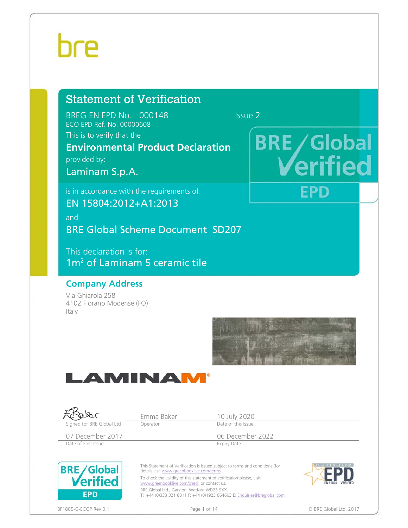# hre

### Statement of Verification

BREG EN EPD No.: 000148 Issue 2 ECO EPD Ref. No. 00000608

This is to verify that the

### **Environmental Product Declaration**  provided by:

Laminam S.p.A.

is in accordance with the requirements of:

EN 15804:2012+A1:2013

and BRE Global Scheme Document SD207

This declaration is for: 1m<sup>2</sup> of Laminam 5 ceramic tile

### Company Address

Via Ghiarola 258 4102 Fiorano Modense (FO) Italy







# **BRE/Global**

EPD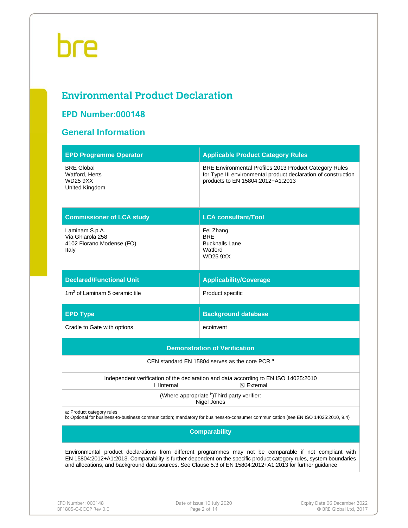### **Environmental Product Declaration**

### **EPD Number:000148**

### **General Information**

| <b>EPD Programme Operator</b>                                                                                                                                                                                                                                                                                                                 | <b>Applicable Product Category Rules</b>                                                                                                                      |  |  |  |  |  |  |
|-----------------------------------------------------------------------------------------------------------------------------------------------------------------------------------------------------------------------------------------------------------------------------------------------------------------------------------------------|---------------------------------------------------------------------------------------------------------------------------------------------------------------|--|--|--|--|--|--|
| <b>BRE Global</b><br>Watford, Herts<br><b>WD25 9XX</b><br>United Kingdom                                                                                                                                                                                                                                                                      | BRE Environmental Profiles 2013 Product Category Rules<br>for Type III environmental product declaration of construction<br>products to EN 15804:2012+A1:2013 |  |  |  |  |  |  |
| <b>Commissioner of LCA study</b>                                                                                                                                                                                                                                                                                                              | <b>LCA consultant/Tool</b>                                                                                                                                    |  |  |  |  |  |  |
| Laminam S.p.A.<br>Via Ghiarola 258<br>4102 Fiorano Modense (FO)<br>Italy                                                                                                                                                                                                                                                                      | Fei Zhang<br><b>BRE</b><br><b>Bucknalls Lane</b><br>Watford<br><b>WD25 9XX</b>                                                                                |  |  |  |  |  |  |
| <b>Declared/Functional Unit</b>                                                                                                                                                                                                                                                                                                               | <b>Applicability/Coverage</b>                                                                                                                                 |  |  |  |  |  |  |
| 1m <sup>2</sup> of Laminam 5 ceramic tile                                                                                                                                                                                                                                                                                                     | Product specific                                                                                                                                              |  |  |  |  |  |  |
| <b>EPD Type</b>                                                                                                                                                                                                                                                                                                                               | <b>Background database</b>                                                                                                                                    |  |  |  |  |  |  |
| Cradle to Gate with options                                                                                                                                                                                                                                                                                                                   | ecoinvent                                                                                                                                                     |  |  |  |  |  |  |
|                                                                                                                                                                                                                                                                                                                                               | <b>Demonstration of Verification</b>                                                                                                                          |  |  |  |  |  |  |
|                                                                                                                                                                                                                                                                                                                                               | CEN standard EN 15804 serves as the core PCR a                                                                                                                |  |  |  |  |  |  |
| $\Box$ Internal                                                                                                                                                                                                                                                                                                                               | Independent verification of the declaration and data according to EN ISO 14025:2010<br>$\boxtimes$ External                                                   |  |  |  |  |  |  |
|                                                                                                                                                                                                                                                                                                                                               | (Where appropriate b) Third party verifier:<br>Nigel Jones                                                                                                    |  |  |  |  |  |  |
| a: Product category rules                                                                                                                                                                                                                                                                                                                     | b: Optional for business-to-business communication; mandatory for business-to-consumer communication (see EN ISO 14025:2010, 9.4)                             |  |  |  |  |  |  |
| <b>Comparability</b>                                                                                                                                                                                                                                                                                                                          |                                                                                                                                                               |  |  |  |  |  |  |
| Environmental product declarations from different programmes may not be comparable if not compliant with<br>EN 15804:2012+A1:2013. Comparability is further dependent on the specific product category rules, system boundaries<br>and allocations, and background data sources. See Clause 5.3 of EN 15804:2012+A1:2013 for further guidance |                                                                                                                                                               |  |  |  |  |  |  |
|                                                                                                                                                                                                                                                                                                                                               |                                                                                                                                                               |  |  |  |  |  |  |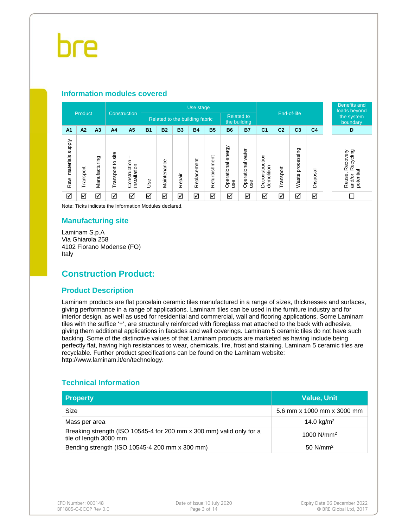#### **Information modules covered**

|                            | Product   |               |                                     |                             |           |                                |           | Use stage   |               |                              |                                   |                              |                |                               |                         |  | <b>Benefits and</b><br>loads beyond                               |                        |
|----------------------------|-----------|---------------|-------------------------------------|-----------------------------|-----------|--------------------------------|-----------|-------------|---------------|------------------------------|-----------------------------------|------------------------------|----------------|-------------------------------|-------------------------|--|-------------------------------------------------------------------|------------------------|
|                            |           |               |                                     | <b>Construction</b>         |           | Related to the building fabric |           |             |               |                              | <b>Related to</b><br>the building |                              | End-of-life    |                               |                         |  |                                                                   | the system<br>boundary |
| A <sub>1</sub>             | A2        | A3            | A <sub>4</sub>                      | A <sub>5</sub>              | <b>B1</b> | <b>B2</b>                      | <b>B3</b> | <b>B4</b>   | <b>B5</b>     | <b>B6</b>                    | <b>B7</b>                         | C <sub>1</sub>               | C <sub>2</sub> | C <sub>3</sub>                | C <sub>4</sub>          |  | D                                                                 |                        |
| supply<br>materials<br>Raw | Transport | Manufacturing | site<br>$\overline{c}$<br>Transport | Construction<br>nstallation | 9se       | Maintenance                    | Repair    | Replacement | Refurbishment | energy<br>Operational<br>use | Operational water<br>ge           | Deconstruction<br>demolition | ransport       | sing<br>ΰĎ<br>proces<br>Waste | ᢎ<br>Ö<br><b>Dispos</b> |  | ecycling<br>Recovery<br>$\alpha$<br>potential<br>Reuse,<br>and/or |                        |
| ☑                          | ☑         | ☑             | ☑                                   | ☑                           | ☑         | ☑                              | ☑         | ☑           | ☑             | ☑                            | ☑                                 | ☑                            | ☑              | ☑                             | ☑                       |  |                                                                   |                        |

Note: Ticks indicate the Information Modules declared.

#### **Manufacturing site**

Laminam S.p.A Via Ghiarola 258 4102 Fiorano Modense (FO) Italy

### **Construction Product:**

#### **Product Description**

Laminam products are flat porcelain ceramic tiles manufactured in a range of sizes, thicknesses and surfaces, giving performance in a range of applications. Laminam tiles can be used in the furniture industry and for interior design, as well as used for residential and commercial, wall and flooring applications. Some Laminam tiles with the suffice '+', are structurally reinforced with fibreglass mat attached to the back with adhesive, giving them additional applications in facades and wall coverings. Laminam 5 ceramic tiles do not have such backing. Some of the distinctive values of that Laminam products are marketed as having include being perfectly flat, having high resistances to wear, chemicals, fire, frost and staining. Laminam 5 ceramic tiles are recyclable. Further product specifications can be found on the Laminam website: http://www.laminam.it/en/technology.

#### **Technical Information**

| <b>Property</b>                                                                                | <b>Value, Unit</b>         |
|------------------------------------------------------------------------------------------------|----------------------------|
| Size                                                                                           | 5.6 mm x 1000 mm x 3000 mm |
| Mass per area                                                                                  | 14.0 $kg/m2$               |
| Breaking strength (ISO 10545-4 for 200 mm x 300 mm) valid only for a<br>tile of length 3000 mm | 1000 $N/mm^2$              |
| Bending strength (ISO 10545-4 200 mm x 300 mm)                                                 | $50$ N/mm <sup>2</sup>     |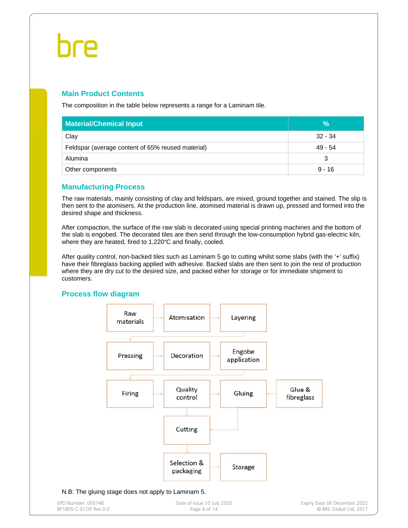#### **Main Product Contents**

The composition in the table below represents a range for a Laminam tile.

| <b>Material/Chemical Input</b>                    | $\%$      |
|---------------------------------------------------|-----------|
| Clay                                              | $32 - 34$ |
| Feldspar (average content of 65% reused material) | $49 - 54$ |
| Alumina                                           | З         |
| Other components                                  | $9 - 16$  |

#### **Manufacturing Process**

The raw materials, mainly consisting of clay and feldspars, are mixed, ground together and stained. The slip is then sent to the atomisers. At the production line, atomised material is drawn up, pressed and formed into the desired shape and thickness.

After compaction, the surface of the raw slab is decorated using special printing machines and the bottom of the slab is engobed. The decorated tiles are then send through the low-consumption hybrid gas-electric kiln, where they are heated, fired to 1,220°C and finally, cooled.

After quality control, non-backed tiles such as Laminam 5 go to cutting whilst some slabs (with the '+' suffix) have their fibreglass backing applied with adhesive. Backed slabs are then sent to join the rest of production where they are dry cut to the desired size, and packed either for storage or for immediate shipment to customers.

#### **Process flow diagram**

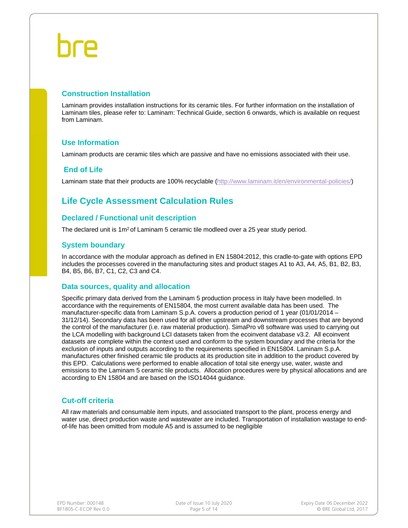#### **Construction Installation**

Laminam provides installation instructions for its ceramic tiles. For further information on the installation of Laminam tiles, please refer to: Laminam: Technical Guide, section 6 onwards, which is available on request from Laminam.

#### **Use Information**

Laminam products are ceramic tiles which are passive and have no emissions associated with their use.

#### **End of Life**

Laminam state that their products are 100% recyclable (http://www.laminam.it/en/environmental-policies/)

### **Life Cycle Assessment Calculation Rules**

#### **Declared / Functional unit description**

The declared unit is 1m<sup>2</sup> of Laminam 5 ceramic tile modleed over a 25 year study period.

#### **System boundary**

In accordance with the modular approach as defined in EN 15804:2012, this cradle-to-gate with options EPD includes the processes covered in the manufacturing sites and product stages A1 to A3, A4, A5, B1, B2, B3, B4, B5, B6, B7, C1, C2, C3 and C4.

#### **Data sources, quality and allocation**

Specific primary data derived from the Laminam 5 production process in Italy have been modelled. In accordance with the requirements of EN15804, the most current available data has been used. The manufacturer-specific data from Laminam S.p.A. covers a production period of 1 year (01/01/2014 – 31/12/14). Secondary data has been used for all other upstream and downstream processes that are beyond the control of the manufacturer (i.e. raw material production). SimaPro v8 software was used to carrying out the LCA modelling with background LCI datasets taken from the ecoinvent database v3.2. All ecoinvent datasets are complete within the context used and conform to the system boundary and the criteria for the exclusion of inputs and outputs according to the requirements specified in EN15804. Laminam S.p.A. manufactures other finished ceramic tile products at its production site in addition to the product covered by this EPD. Calculations were performed to enable allocation of total site energy use, water, waste and emissions to the Laminam 5 ceramic tile products. Allocation procedures were by physical allocations and are according to EN 15804 and are based on the ISO14044 guidance.

#### **Cut-off criteria**

All raw materials and consumable item inputs, and associated transport to the plant, process energy and water use, direct production waste and wastewater are included. Transportation of installation wastage to endof-life has been omitted from module A5 and is assumed to be negligible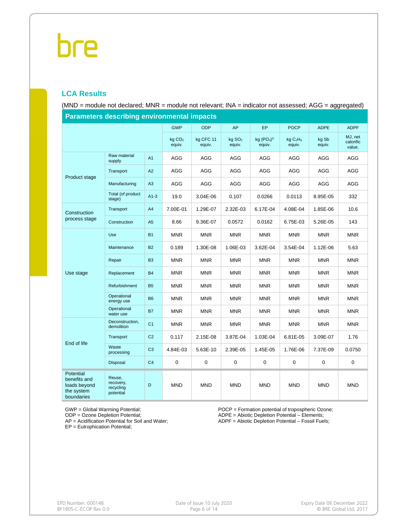#### **LCA Results**

(MND = module not declared; MNR = module not relevant; INA = indicator not assessed; AGG = aggregated)

| <b>Parameters describing environmental impacts</b>                    |                                               |                |                              |                     |                              |                       |                                            |                 |                                |  |  |
|-----------------------------------------------------------------------|-----------------------------------------------|----------------|------------------------------|---------------------|------------------------------|-----------------------|--------------------------------------------|-----------------|--------------------------------|--|--|
|                                                                       |                                               |                | <b>GWP</b>                   | <b>ODP</b>          | <b>AP</b>                    | <b>EP</b>             | <b>POCP</b>                                | <b>ADPE</b>     | <b>ADPF</b>                    |  |  |
|                                                                       |                                               |                | kg CO <sub>2</sub><br>equiv. | kg CFC 11<br>equiv. | kg SO <sub>2</sub><br>equiv. | kg $(PO4)3$<br>equiv. | kg C <sub>2</sub> H <sub>4</sub><br>equiv. | kg Sb<br>equiv. | MJ, net<br>calorific<br>value. |  |  |
|                                                                       | Raw material<br>supply                        | A <sub>1</sub> | AGG                          | <b>AGG</b>          | <b>AGG</b>                   | <b>AGG</b>            | <b>AGG</b>                                 | <b>AGG</b>      | AGG                            |  |  |
| Product stage                                                         | Transport                                     | A2             | AGG                          | AGG                 | AGG                          | AGG                   | AGG                                        | AGG             | AGG                            |  |  |
|                                                                       | Manufacturing                                 | A3             | <b>AGG</b>                   | AGG                 | <b>AGG</b>                   | <b>AGG</b>            | AGG                                        | <b>AGG</b>      | AGG                            |  |  |
|                                                                       | Total (of product<br>stage)                   | $A1-3$         | 19.0                         | 3.04E-06            | 0.107                        | 0.0266                | 0.0113                                     | 8.95E-05        | 332                            |  |  |
| Construction                                                          | Transport                                     | A4             | 7.00E-01                     | 1.29E-07            | 2.32E-03                     | 6.17E-04              | 4.08E-04                                   | 1.85E-06        | 10.6                           |  |  |
| process stage                                                         | Construction                                  | A <sub>5</sub> | 8.66                         | 9.36E-07            | 0.0572                       | 0.0162                | 6.75E-03                                   | 5.26E-05        | 143                            |  |  |
|                                                                       | Use                                           | <b>B1</b>      | <b>MNR</b>                   | <b>MNR</b>          | <b>MNR</b>                   | <b>MNR</b>            | <b>MNR</b>                                 | <b>MNR</b>      | <b>MNR</b>                     |  |  |
|                                                                       | Maintenance                                   | <b>B2</b>      | 0.189                        | 1.30E-08            | 1.06E-03                     | 3.62E-04              | 3.54E-04                                   | 1.12E-06        | 5.63                           |  |  |
|                                                                       | Repair                                        | B <sub>3</sub> | <b>MNR</b>                   | <b>MNR</b>          | <b>MNR</b>                   | <b>MNR</b>            | MNR                                        | <b>MNR</b>      | <b>MNR</b>                     |  |  |
| Use stage                                                             | Replacement                                   | <b>B4</b>      | <b>MNR</b>                   | <b>MNR</b>          | <b>MNR</b>                   | <b>MNR</b>            | <b>MNR</b>                                 | <b>MNR</b>      | <b>MNR</b>                     |  |  |
|                                                                       | Refurbishment                                 | <b>B5</b>      | <b>MNR</b>                   | <b>MNR</b>          | <b>MNR</b>                   | <b>MNR</b>            | <b>MNR</b>                                 | <b>MNR</b>      | <b>MNR</b>                     |  |  |
|                                                                       | Operational<br>energy use                     | <b>B6</b>      | <b>MNR</b>                   | <b>MNR</b>          | <b>MNR</b>                   | <b>MNR</b>            | <b>MNR</b>                                 | <b>MNR</b>      | <b>MNR</b>                     |  |  |
|                                                                       | Operational<br>water use                      | <b>B7</b>      | <b>MNR</b>                   | <b>MNR</b>          | <b>MNR</b>                   | <b>MNR</b>            | <b>MNR</b>                                 | <b>MNR</b>      | <b>MNR</b>                     |  |  |
|                                                                       | Deconstruction,<br>demolition                 | C <sub>1</sub> | <b>MNR</b>                   | <b>MNR</b>          | <b>MNR</b>                   | <b>MNR</b>            | <b>MNR</b>                                 | <b>MNR</b>      | <b>MNR</b>                     |  |  |
|                                                                       | Transport                                     | C <sub>2</sub> | 0.117                        | 2.15E-08            | 3.87E-04                     | 1.03E-04              | 6.81E-05                                   | 3.09E-07        | 1.76                           |  |  |
| End of life                                                           | Waste<br>processing                           | C <sub>3</sub> | 4.84E-03                     | 5.63E-10            | 2.39E-05                     | 1.45E-05              | 1.76E-06                                   | 7.37E-09        | 0.0750                         |  |  |
|                                                                       | Disposal                                      | C <sub>4</sub> | 0                            | $\mathbf 0$         | 0                            | $\boldsymbol{0}$      | $\mathbf 0$                                | $\mathbf 0$     | 0                              |  |  |
| Potential<br>benefits and<br>loads beyond<br>the system<br>boundaries | Reuse,<br>recovery,<br>recycling<br>potential | D              | <b>MND</b>                   | <b>MND</b>          | <b>MND</b>                   | <b>MND</b>            | <b>MND</b>                                 | <b>MND</b>      | <b>MND</b>                     |  |  |

**Parameters describing environmental impacts**

GWP = Global Warming Potential;

ODP = Ozone Depletion Potential;

AP = Acidification Potential for Soil and Water;

EP = Eutrophication Potential;

POCP = Formation potential of tropospheric Ozone; ADPE = Abiotic Depletion Potential – Elements; ADPF = Abiotic Depletion Potential – Fossil Fuels;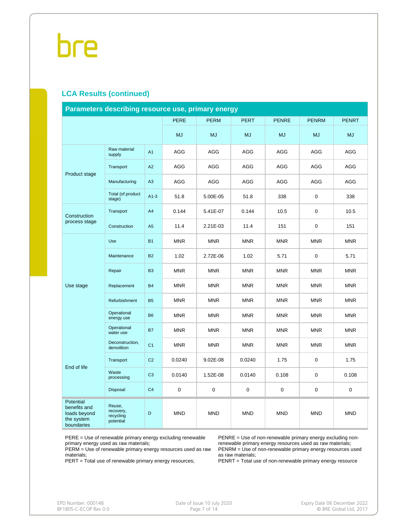#### **LCA Results (continued)**

| Parameters describing resource use, primary energy                    |                                               |                |             |             |             |              |              |              |  |  |
|-----------------------------------------------------------------------|-----------------------------------------------|----------------|-------------|-------------|-------------|--------------|--------------|--------------|--|--|
|                                                                       |                                               |                | <b>PERE</b> | <b>PERM</b> | <b>PERT</b> | <b>PENRE</b> | <b>PENRM</b> | <b>PENRT</b> |  |  |
|                                                                       |                                               |                | <b>MJ</b>   | <b>MJ</b>   | <b>MJ</b>   | <b>MJ</b>    | <b>MJ</b>    | <b>MJ</b>    |  |  |
|                                                                       | Raw material<br>supply                        | A <sub>1</sub> | AGG         | AGG         | AGG         | AGG          | AGG          | AGG          |  |  |
| Product stage                                                         | Transport                                     | A2             | <b>AGG</b>  | <b>AGG</b>  | AGG         | <b>AGG</b>   | <b>AGG</b>   | AGG          |  |  |
|                                                                       | Manufacturing                                 | A3             | <b>AGG</b>  | <b>AGG</b>  | <b>AGG</b>  | <b>AGG</b>   | <b>AGG</b>   | <b>AGG</b>   |  |  |
|                                                                       | Total (of product<br>stage)                   | $A1-3$         | 51.8        | 5.00E-05    | 51.8        | 338          | $\mathbf 0$  | 338          |  |  |
| Construction                                                          | Transport                                     | A4             | 0.144       | 5.41E-07    | 0.144       | 10.5         | $\mathbf 0$  | 10.5         |  |  |
| process stage                                                         | Construction                                  | A5             | 11.4        | 2.21E-03    | 11.4        | 151          | $\mathbf 0$  | 151          |  |  |
|                                                                       | Use                                           | <b>B1</b>      | <b>MNR</b>  | <b>MNR</b>  | <b>MNR</b>  | <b>MNR</b>   | <b>MNR</b>   | <b>MNR</b>   |  |  |
|                                                                       | Maintenance                                   | <b>B2</b>      | 1.02        | 2.72E-06    | 1.02        | 5.71         | 0            | 5.71         |  |  |
|                                                                       | Repair                                        | B <sub>3</sub> | <b>MNR</b>  | <b>MNR</b>  | <b>MNR</b>  | <b>MNR</b>   | <b>MNR</b>   | <b>MNR</b>   |  |  |
| Use stage                                                             | Replacement                                   | <b>B4</b>      | <b>MNR</b>  | <b>MNR</b>  | <b>MNR</b>  | <b>MNR</b>   | <b>MNR</b>   | <b>MNR</b>   |  |  |
|                                                                       | Refurbishment                                 | <b>B5</b>      | <b>MNR</b>  | <b>MNR</b>  | <b>MNR</b>  | <b>MNR</b>   | <b>MNR</b>   | <b>MNR</b>   |  |  |
|                                                                       | Operational<br>energy use                     | <b>B6</b>      | <b>MNR</b>  | <b>MNR</b>  | <b>MNR</b>  | <b>MNR</b>   | <b>MNR</b>   | <b>MNR</b>   |  |  |
|                                                                       | Operational<br>water use                      | <b>B7</b>      | <b>MNR</b>  | <b>MNR</b>  | <b>MNR</b>  | <b>MNR</b>   | <b>MNR</b>   | <b>MNR</b>   |  |  |
|                                                                       | Deconstruction,<br>demolition                 | C <sub>1</sub> | <b>MNR</b>  | <b>MNR</b>  | <b>MNR</b>  | <b>MNR</b>   | <b>MNR</b>   | <b>MNR</b>   |  |  |
| End of life                                                           | Transport                                     | C <sub>2</sub> | 0.0240      | $9.02E-08$  | 0.0240      | 1.75         | 0            | 1.75         |  |  |
|                                                                       | Waste<br>processing                           | C <sub>3</sub> | 0.0140      | 1.52E-08    | 0.0140      | 0.108        | 0            | 0.108        |  |  |
|                                                                       | Disposal                                      | C <sub>4</sub> | 0           | $\pmb{0}$   | $\pmb{0}$   | 0            | 0            | 0            |  |  |
| Potential<br>benefits and<br>loads beyond<br>the system<br>boundaries | Reuse,<br>recovery,<br>recycling<br>potential | D              | <b>MND</b>  | <b>MND</b>  | <b>MND</b>  | <b>MND</b>   | <b>MND</b>   | <b>MND</b>   |  |  |

PERE = Use of renewable primary energy excluding renewable primary energy used as raw materials;

PERM = Use of renewable primary energy resources used as raw materials;

PERT = Total use of renewable primary energy resources;

PENRE = Use of non-renewable primary energy excluding nonrenewable primary energy resources used as raw materials; PENRM = Use of non-renewable primary energy resources used as raw materials;

PENRT = Total use of non-renewable primary energy resource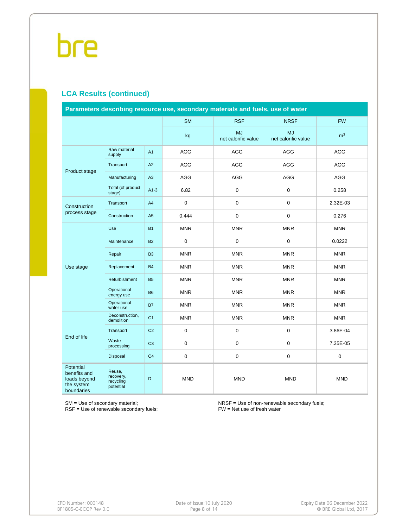### **LCA Results (continued)**

| Parameters describing resource use, secondary materials and fuels, use of water |                                               |                |             |                                  |                                  |                |  |  |  |
|---------------------------------------------------------------------------------|-----------------------------------------------|----------------|-------------|----------------------------------|----------------------------------|----------------|--|--|--|
|                                                                                 |                                               |                | <b>SM</b>   | <b>RSF</b>                       | <b>NRSF</b>                      | <b>FW</b>      |  |  |  |
|                                                                                 |                                               |                | kg          | <b>MJ</b><br>net calorific value | <b>MJ</b><br>net calorific value | m <sup>3</sup> |  |  |  |
|                                                                                 | Raw material<br>supply                        | A1             | AGG         | AGG                              | AGG                              | AGG            |  |  |  |
|                                                                                 | Transport                                     | A2             | AGG         | AGG                              | AGG                              | AGG            |  |  |  |
| Product stage                                                                   | Manufacturing                                 | A3             | AGG         | AGG                              | AGG                              | AGG            |  |  |  |
|                                                                                 | Total (of product<br>stage)                   | $A1-3$         | 6.82        | $\mathbf 0$                      | $\mathbf 0$                      | 0.258          |  |  |  |
| Construction                                                                    | Transport                                     | A4             | 0           | $\mathsf 0$                      | $\mathbf 0$                      | 2.32E-03       |  |  |  |
| process stage                                                                   | Construction                                  | A <sub>5</sub> | 0.444       | $\pmb{0}$                        | $\boldsymbol{0}$                 | 0.276          |  |  |  |
|                                                                                 | Use                                           | <b>B1</b>      | <b>MNR</b>  | <b>MNR</b>                       | <b>MNR</b>                       | <b>MNR</b>     |  |  |  |
|                                                                                 | Maintenance                                   | <b>B2</b>      | $\mathbf 0$ | $\mathbf 0$                      | $\mathbf 0$                      | 0.0222         |  |  |  |
|                                                                                 | Repair                                        | B <sub>3</sub> | <b>MNR</b>  | <b>MNR</b>                       | <b>MNR</b>                       | <b>MNR</b>     |  |  |  |
| Use stage                                                                       | Replacement                                   | <b>B4</b>      | <b>MNR</b>  | <b>MNR</b>                       | <b>MNR</b>                       | <b>MNR</b>     |  |  |  |
|                                                                                 | Refurbishment                                 | <b>B5</b>      | <b>MNR</b>  | <b>MNR</b>                       | <b>MNR</b>                       | <b>MNR</b>     |  |  |  |
|                                                                                 | Operational<br>energy use                     | <b>B6</b>      | <b>MNR</b>  | <b>MNR</b>                       | <b>MNR</b>                       | <b>MNR</b>     |  |  |  |
|                                                                                 | Operational<br>water use                      | <b>B7</b>      | <b>MNR</b>  | <b>MNR</b>                       | <b>MNR</b>                       | <b>MNR</b>     |  |  |  |
|                                                                                 | Deconstruction,<br>demolition                 | C <sub>1</sub> | <b>MNR</b>  | <b>MNR</b>                       | <b>MNR</b>                       | <b>MNR</b>     |  |  |  |
| End of life                                                                     | Transport                                     | C <sub>2</sub> | 0           | $\mathbf 0$                      | $\pmb{0}$                        | 3.86E-04       |  |  |  |
|                                                                                 | Waste<br>processing                           | C <sub>3</sub> | 0           | $\mathbf 0$                      | $\mathbf 0$                      | 7.35E-05       |  |  |  |
|                                                                                 | <b>Disposal</b>                               | C <sub>4</sub> | 0           | $\mathsf 0$                      | $\mathbf 0$                      | $\pmb{0}$      |  |  |  |
| Potential<br>benefits and<br>loads beyond<br>the system<br>boundaries           | Reuse,<br>recovery,<br>recycling<br>potential | D              | <b>MND</b>  | <b>MND</b>                       | <b>MND</b>                       | <b>MND</b>     |  |  |  |

SM = Use of secondary material;

RSF = Use of renewable secondary fuels;

NRSF = Use of non-renewable secondary fuels; FW = Net use of fresh water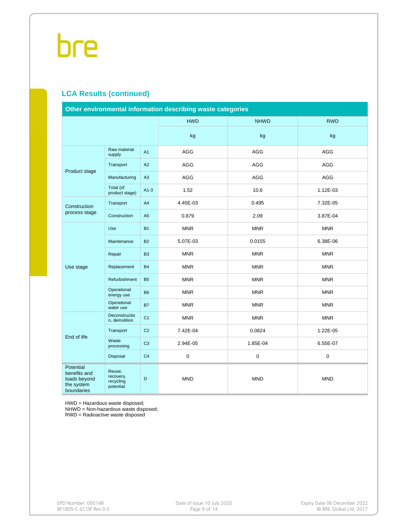### **LCA Results (continued)**

| Other environmental information describing waste categories           |                                               |                |                  |             |             |  |  |  |  |
|-----------------------------------------------------------------------|-----------------------------------------------|----------------|------------------|-------------|-------------|--|--|--|--|
|                                                                       |                                               |                | <b>HWD</b>       | <b>NHWD</b> | <b>RWD</b>  |  |  |  |  |
|                                                                       |                                               |                | kg               | kg          | kg          |  |  |  |  |
|                                                                       | Raw material<br>supply                        | A <sub>1</sub> | AGG              | AGG         | AGG         |  |  |  |  |
|                                                                       | Transport                                     | A2             | AGG              | <b>AGG</b>  | <b>AGG</b>  |  |  |  |  |
| Product stage                                                         | Manufacturing                                 | A3             | AGG              | AGG         | AGG         |  |  |  |  |
|                                                                       | Total (of<br>product stage)                   | $A1-3$         | 1.52             | 10.6        | 1.12E-03    |  |  |  |  |
| Construction                                                          | Transport                                     | A4             | 4.45E-03         | 0.495       | 7.32E-05    |  |  |  |  |
| process stage                                                         | Construction                                  | A <sub>5</sub> | 0.879            | 2.09        | 3.87E-04    |  |  |  |  |
|                                                                       | Use                                           | <b>B1</b>      | <b>MNR</b>       | <b>MNR</b>  | <b>MNR</b>  |  |  |  |  |
|                                                                       | Maintenance                                   | <b>B2</b>      | 5.07E-03         | 0.0155      | 6.38E-06    |  |  |  |  |
|                                                                       | Repair                                        | B <sub>3</sub> | <b>MNR</b>       | <b>MNR</b>  | <b>MNR</b>  |  |  |  |  |
| Use stage                                                             | Replacement                                   | <b>B4</b>      | <b>MNR</b>       | <b>MNR</b>  | <b>MNR</b>  |  |  |  |  |
|                                                                       | Refurbishment                                 | <b>B5</b>      | <b>MNR</b>       | <b>MNR</b>  | <b>MNR</b>  |  |  |  |  |
|                                                                       | Operational<br>energy use                     | <b>B6</b>      | <b>MNR</b>       | <b>MNR</b>  | <b>MNR</b>  |  |  |  |  |
|                                                                       | Operational<br>water use                      | <b>B7</b>      | <b>MNR</b>       | <b>MNR</b>  | <b>MNR</b>  |  |  |  |  |
|                                                                       | Deconstructio<br>n, demolition                | C <sub>1</sub> | <b>MNR</b>       | <b>MNR</b>  | <b>MNR</b>  |  |  |  |  |
|                                                                       | Transport                                     | C <sub>2</sub> | 7.42E-04         | 0.0824      | 1.22E-05    |  |  |  |  |
| End of life                                                           | Waste<br>processing                           | C <sub>3</sub> | 2.94E-05         | 1.85E-04    | 6.55E-07    |  |  |  |  |
|                                                                       | Disposal                                      | C <sub>4</sub> | $\boldsymbol{0}$ | 0           | $\mathbf 0$ |  |  |  |  |
| Potential<br>benefits and<br>loads beyond<br>the system<br>boundaries | Reuse,<br>recovery,<br>recycling<br>potential | D              | <b>MND</b>       | <b>MND</b>  | <b>MND</b>  |  |  |  |  |

HWD = Hazardous waste disposed;

NHWD = Non-hazardous waste disposed;

RWD = Radioactive waste disposed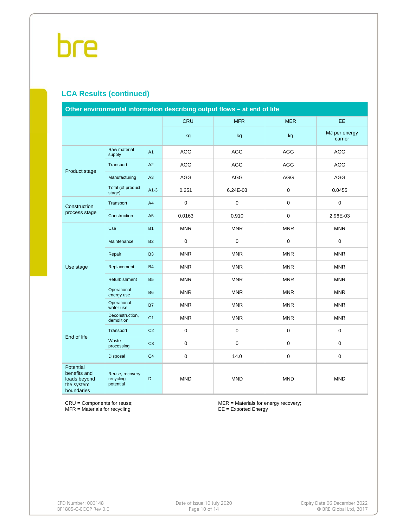#### **LCA Results (continued)**

| Other environmental information describing output flows - at end of life     |                                            |                |             |             |             |                          |  |  |  |
|------------------------------------------------------------------------------|--------------------------------------------|----------------|-------------|-------------|-------------|--------------------------|--|--|--|
|                                                                              |                                            |                | <b>CRU</b>  | <b>MFR</b>  | <b>MER</b>  | <b>EE</b>                |  |  |  |
|                                                                              |                                            |                | kg          | kg          | kg          | MJ per energy<br>carrier |  |  |  |
|                                                                              | Raw material<br>supply                     | A1             | AGG         | AGG         | AGG         | <b>AGG</b>               |  |  |  |
| Product stage                                                                | Transport                                  | A2             | AGG         | <b>AGG</b>  | AGG         | AGG                      |  |  |  |
|                                                                              | Manufacturing                              | A <sub>3</sub> | AGG         | AGG         | AGG         | <b>AGG</b>               |  |  |  |
|                                                                              | Total (of product<br>stage)                | $A1-3$         | 0.251       | 6.24E-03    | $\mathbf 0$ | 0.0455                   |  |  |  |
| Construction                                                                 | Transport                                  | A4             | 0           | $\pmb{0}$   | $\pmb{0}$   | $\mathbf 0$              |  |  |  |
| process stage                                                                | Construction                               | A5             | 0.0163      | 0.910       | $\mathbf 0$ | 2.96E-03                 |  |  |  |
|                                                                              | Use                                        | <b>B1</b>      | <b>MNR</b>  | <b>MNR</b>  | <b>MNR</b>  | <b>MNR</b>               |  |  |  |
|                                                                              | Maintenance                                | <b>B2</b>      | 0           | $\mathbf 0$ | $\mathbf 0$ | $\mathbf 0$              |  |  |  |
|                                                                              | Repair                                     | B <sub>3</sub> | <b>MNR</b>  | <b>MNR</b>  | <b>MNR</b>  | <b>MNR</b>               |  |  |  |
| Use stage                                                                    | Replacement                                | <b>B4</b>      | <b>MNR</b>  | <b>MNR</b>  | <b>MNR</b>  | <b>MNR</b>               |  |  |  |
|                                                                              | Refurbishment                              | <b>B5</b>      | <b>MNR</b>  | <b>MNR</b>  | <b>MNR</b>  | <b>MNR</b>               |  |  |  |
|                                                                              | Operational<br>energy use                  | <b>B6</b>      | <b>MNR</b>  | <b>MNR</b>  | <b>MNR</b>  | <b>MNR</b>               |  |  |  |
|                                                                              | Operational<br>water use                   | <b>B7</b>      | <b>MNR</b>  | <b>MNR</b>  | <b>MNR</b>  | <b>MNR</b>               |  |  |  |
|                                                                              | Deconstruction,<br>demolition              | C <sub>1</sub> | <b>MNR</b>  | <b>MNR</b>  | <b>MNR</b>  | <b>MNR</b>               |  |  |  |
| End of life                                                                  | Transport                                  | C <sub>2</sub> | 0           | $\mathsf 0$ | $\pmb{0}$   | $\mathbf 0$              |  |  |  |
|                                                                              | Waste<br>processing                        | C <sub>3</sub> | $\mathbf 0$ | $\mathbf 0$ | $\mathbf 0$ | $\mathbf 0$              |  |  |  |
|                                                                              | <b>Disposal</b>                            | C <sub>4</sub> | 0           | 14.0        | $\pmb{0}$   | $\mathsf{O}\xspace$      |  |  |  |
| <b>Potential</b><br>benefits and<br>loads beyond<br>the system<br>boundaries | Reuse, recovery,<br>recycling<br>potential | D              | <b>MND</b>  | <b>MND</b>  | <b>MND</b>  | <b>MND</b>               |  |  |  |

CRU = Components for reuse; MFR = Materials for recycling

MER = Materials for energy recovery; EE = Exported Energy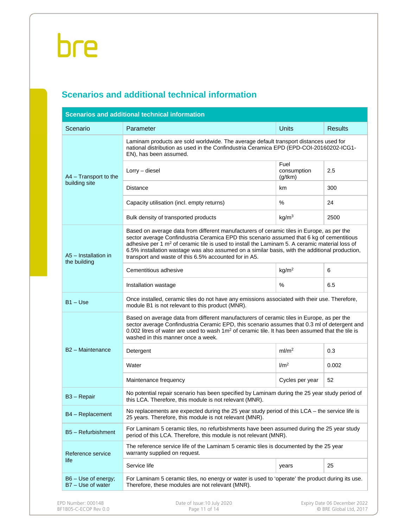### **Scenarios and additional technical information**

| Scenario                             | Parameter                                                                                                                                                                                                                                                                                                                                                                                                                                                       | <b>Units</b>                   | <b>Results</b> |  |  |  |  |  |
|--------------------------------------|-----------------------------------------------------------------------------------------------------------------------------------------------------------------------------------------------------------------------------------------------------------------------------------------------------------------------------------------------------------------------------------------------------------------------------------------------------------------|--------------------------------|----------------|--|--|--|--|--|
|                                      | Laminam products are sold worldwide. The average default transport distances used for<br>national distribution as used in the Confindustria Ceramica EPD (EPD-COI-20160202-ICG1-<br>EN), has been assumed.                                                                                                                                                                                                                                                      |                                |                |  |  |  |  |  |
| A4 - Transport to the                | Lorry - diesel                                                                                                                                                                                                                                                                                                                                                                                                                                                  | Fuel<br>consumption<br>(g/tkm) | 2.5            |  |  |  |  |  |
| building site                        | <b>Distance</b>                                                                                                                                                                                                                                                                                                                                                                                                                                                 | km                             | 300            |  |  |  |  |  |
|                                      | Capacity utilisation (incl. empty returns)                                                                                                                                                                                                                                                                                                                                                                                                                      | $\%$                           | 24             |  |  |  |  |  |
|                                      | Bulk density of transported products                                                                                                                                                                                                                                                                                                                                                                                                                            | kg/m <sup>3</sup>              | 2500           |  |  |  |  |  |
| A5 - Installation in<br>the building | Based on average data from different manufacturers of ceramic tiles in Europe, as per the<br>sector average Confindustria Ceramica EPD this scenario assumed that 6 kg of cementitious<br>adhesive per 1 m <sup>2</sup> of ceramic tile is used to install the Laminam 5. A ceramic material loss of<br>6.5% installation wastage was also assumed on a similar basis, with the additional production,<br>transport and waste of this 6.5% accounted for in A5. |                                |                |  |  |  |  |  |
|                                      | Cementitious adhesive                                                                                                                                                                                                                                                                                                                                                                                                                                           | kg/m <sup>2</sup>              | 6              |  |  |  |  |  |
|                                      | Installation wastage                                                                                                                                                                                                                                                                                                                                                                                                                                            | %                              | 6.5            |  |  |  |  |  |
| $B1 - Use$                           | Once installed, ceramic tiles do not have any emissions associated with their use. Therefore,<br>module B1 is not relevant to this product (MNR).                                                                                                                                                                                                                                                                                                               |                                |                |  |  |  |  |  |
|                                      | Based on average data from different manufacturers of ceramic tiles in Europe, as per the<br>sector average Confindustria Ceramic EPD, this scenario assumes that 0.3 ml of detergent and<br>0.002 litres of water are used to wash 1m <sup>2</sup> of ceramic tile. It has been assumed that the tile is<br>washed in this manner once a week.                                                                                                                 |                                |                |  |  |  |  |  |
| B <sub>2</sub> - Maintenance         | Detergent                                                                                                                                                                                                                                                                                                                                                                                                                                                       | ml/m <sup>2</sup>              | 0.3            |  |  |  |  |  |
|                                      | Water                                                                                                                                                                                                                                                                                                                                                                                                                                                           | 1/m <sup>2</sup>               | 0.002          |  |  |  |  |  |
|                                      | Maintenance frequency                                                                                                                                                                                                                                                                                                                                                                                                                                           | Cycles per year                | 52             |  |  |  |  |  |
| B <sub>3</sub> - Repair              | No potential repair scenario has been specified by Laminam during the 25 year study period of<br>this LCA. Therefore, this module is not relevant (MNR).                                                                                                                                                                                                                                                                                                        |                                |                |  |  |  |  |  |
| B4 - Replacement                     | No replacements are expected during the 25 year study period of this $LCA$ – the service life is<br>25 years. Therefore, this module is not relevant (MNR).                                                                                                                                                                                                                                                                                                     |                                |                |  |  |  |  |  |
| B5 - Refurbishment                   | For Laminam 5 ceramic tiles, no refurbishments have been assumed during the 25 year study<br>period of this LCA. Therefore, this module is not relevant (MNR).                                                                                                                                                                                                                                                                                                  |                                |                |  |  |  |  |  |
| Reference service                    | The reference service life of the Laminam 5 ceramic tiles is documented by the 25 year<br>warranty supplied on request.                                                                                                                                                                                                                                                                                                                                         |                                |                |  |  |  |  |  |
|                                      | Service life                                                                                                                                                                                                                                                                                                                                                                                                                                                    | years                          | 25             |  |  |  |  |  |
| life                                 |                                                                                                                                                                                                                                                                                                                                                                                                                                                                 |                                |                |  |  |  |  |  |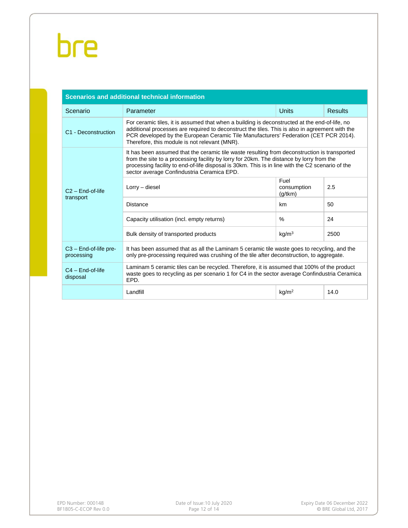| <b>Scenarios and additional technical information</b> |                                                                                                                                                                                                                                                                                                                                            |                                |      |  |  |  |  |  |  |  |
|-------------------------------------------------------|--------------------------------------------------------------------------------------------------------------------------------------------------------------------------------------------------------------------------------------------------------------------------------------------------------------------------------------------|--------------------------------|------|--|--|--|--|--|--|--|
| Scenario                                              | <b>Units</b><br>Parameter<br><b>Results</b>                                                                                                                                                                                                                                                                                                |                                |      |  |  |  |  |  |  |  |
| C1 - Deconstruction                                   | For ceramic tiles, it is assumed that when a building is deconstructed at the end-of-life, no<br>additional processes are required to deconstruct the tiles. This is also in agreement with the<br>PCR developed by the European Ceramic Tile Manufacturers' Federation (CET PCR 2014).<br>Therefore, this module is not relevant (MNR).   |                                |      |  |  |  |  |  |  |  |
|                                                       | It has been assumed that the ceramic tile waste resulting from deconstruction is transported<br>from the site to a processing facility by lorry for 20km. The distance by lorry from the<br>processing facility to end-of-life disposal is 30km. This is in line with the C2 scenario of the<br>sector average Confindustria Ceramica EPD. |                                |      |  |  |  |  |  |  |  |
| $C2 - End-of-life$<br>transport                       | Lorry - diesel                                                                                                                                                                                                                                                                                                                             | Fuel<br>consumption<br>(g/tkm) | 2.5  |  |  |  |  |  |  |  |
|                                                       | <b>Distance</b>                                                                                                                                                                                                                                                                                                                            | km                             | 50   |  |  |  |  |  |  |  |
|                                                       | Capacity utilisation (incl. empty returns)                                                                                                                                                                                                                                                                                                 | $\%$                           | 24   |  |  |  |  |  |  |  |
|                                                       | Bulk density of transported products                                                                                                                                                                                                                                                                                                       | kg/m <sup>3</sup>              | 2500 |  |  |  |  |  |  |  |
| $C3$ - End-of-life pre-<br>processing                 | It has been assumed that as all the Laminam 5 ceramic tile waste goes to recycling, and the<br>only pre-processing required was crushing of the tile after deconstruction, to aggregate.                                                                                                                                                   |                                |      |  |  |  |  |  |  |  |
| $C4 - End-of-life$<br>disposal                        | Laminam 5 ceramic tiles can be recycled. Therefore, it is assumed that 100% of the product<br>waste goes to recycling as per scenario 1 for C4 in the sector average Confindustria Ceramica<br>EPD.                                                                                                                                        |                                |      |  |  |  |  |  |  |  |
|                                                       | Landfill                                                                                                                                                                                                                                                                                                                                   | kg/m <sup>2</sup>              | 14.0 |  |  |  |  |  |  |  |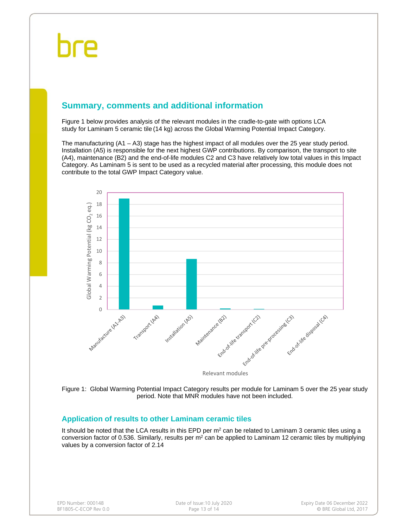### **Summary, comments and additional information**

Figure 1 below provides analysis of the relevant modules in the cradle-to-gate with options LCA study for Laminam 5 ceramic tile (14 kg) across the Global Warming Potential Impact Category.

The manufacturing (A1 – A3) stage has the highest impact of all modules over the 25 year study period. Installation (A5) is responsible for the next highest GWP contributions. By comparison, the transport to site (A4), maintenance (B2) and the end-of-life modules C2 and C3 have relatively low total values in this Impact Category. As Laminam 5 is sent to be used as a recycled material after processing, this module does not contribute to the total GWP Impact Category value.



Figure 1: Global Warming Potential Impact Category results per module for Laminam 5 over the 25 year study period. Note that MNR modules have not been included.

#### **Application of results to other Laminam ceramic tiles**

It should be noted that the LCA results in this EPD per  $m<sup>2</sup>$  can be related to Laminam 3 ceramic tiles using a conversion factor of 0.536. Similarly, results per  $m<sup>2</sup>$  can be applied to Laminam 12 ceramic tiles by multiplying values by a conversion factor of 2.14